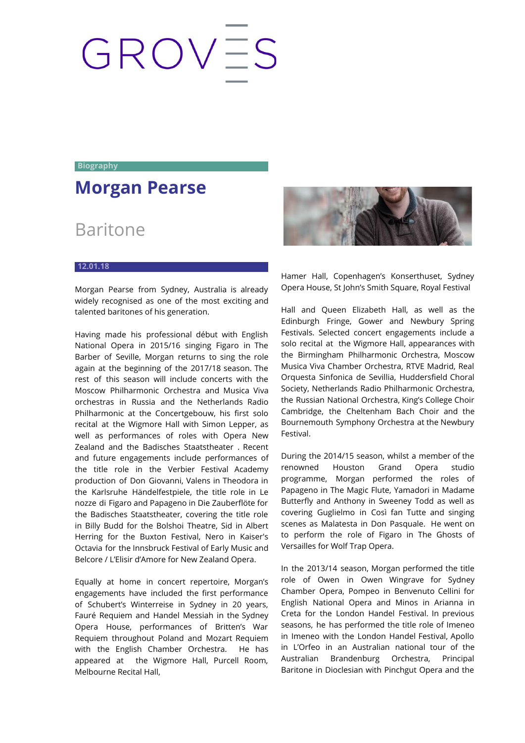## GROVES

**Biography**

## **Morgan Pearse**

## Baritone

## **12.01.18**

Morgan Pearse from Sydney, Australia is already widely recognised as one of the most exciting and talented baritones of his generation.

Having made his professional début with English National Opera in 2015/16 singing Figaro in The Barber of Seville, Morgan returns to sing the role again at the beginning of the 2017/18 season. The rest of this season will include concerts with the Moscow Philharmonic Orchestra and Musica Viva orchestras in Russia and the Netherlands Radio Philharmonic at the Concertgebouw, his first solo recital at the Wigmore Hall with Simon Lepper, as well as performances of roles with Opera New Zealand and the Badisches Staatstheater . Recent and future engagements include performances of the title role in the Verbier Festival Academy production of Don Giovanni, Valens in Theodora in the Karlsruhe Händelfestpiele, the title role in Le nozze di Figaro and Papageno in Die Zauberflöte for the Badisches Staatstheater, covering the title role in Billy Budd for the Bolshoi Theatre, Sid in Albert Herring for the Buxton Festival, Nero in Kaiser's Octavia for the Innsbruck Festival of Early Music and Belcore / L'Elisir d'Amore for New Zealand Opera.

Equally at home in concert repertoire, Morgan's engagements have included the first performance of Schubert's Winterreise in Sydney in 20 years, Fauré Requiem and Handel Messiah in the Sydney Opera House, performances of Britten's War Requiem throughout Poland and Mozart Requiem with the English Chamber Orchestra. He has appeared at the Wigmore Hall, Purcell Room, Melbourne Recital Hall,



Hamer Hall, Copenhagen's Konserthuset, Sydney Opera House, St John's Smith Square, Royal Festival

Hall and Queen Elizabeth Hall, as well as the Edinburgh Fringe, Gower and Newbury Spring Festivals. Selected concert engagements include a solo recital at the Wigmore Hall, appearances with the Birmingham Philharmonic Orchestra, Moscow Musica Viva Chamber Orchestra, RTVE Madrid, Real Orquesta Sinfonica de Sevillia, Huddersfield Choral Society, Netherlands Radio Philharmonic Orchestra, the Russian National Orchestra, King's College Choir Cambridge, the Cheltenham Bach Choir and the Bournemouth Symphony Orchestra at the Newbury Festival.

During the 2014/15 season, whilst a member of the renowned Houston Grand Opera studio programme, Morgan performed the roles of Papageno in The Magic Flute, Yamadori in Madame Butterfly and Anthony in Sweeney Todd as well as covering Guglielmo in Così fan Tutte and singing scenes as Malatesta in Don Pasquale. He went on to perform the role of Figaro in The Ghosts of Versailles for Wolf Trap Opera.

In the 2013/14 season, Morgan performed the title role of Owen in Owen Wingrave for Sydney Chamber Opera, Pompeo in Benvenuto Cellini for English National Opera and Minos in Arianna in Creta for the London Handel Festival. In previous seasons, he has performed the title role of Imeneo in Imeneo with the London Handel Festival, Apollo in L'Orfeo in an Australian national tour of the Australian Brandenburg Orchestra, Principal Baritone in Dioclesian with Pinchgut Opera and the